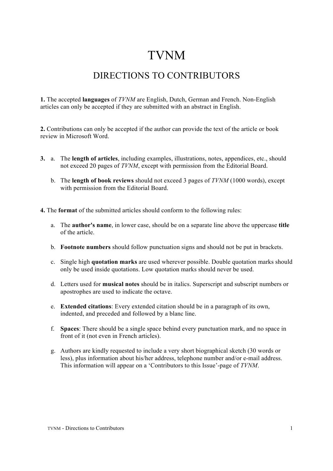# TVNM

## DIRECTIONS TO CONTRIBUTORS

**1.** The accepted **languages** of *TVNM* are English, Dutch, German and French. Non-English articles can only be accepted if they are submitted with an abstract in English.

**2.** Contributions can only be accepted if the author can provide the text of the article or book review in Microsoft Word.

- **3.** a. The **length of articles**, including examples, illustrations, notes, appendices, etc., should not exceed 20 pages of *TVNM*, except with permission from the Editorial Board.
	- b. The **length of book reviews** should not exceed 3 pages of *TVNM* (1000 words), except with permission from the Editorial Board.
- **4.** The **format** of the submitted articles should conform to the following rules:
	- a. The **author's name**, in lower case, should be on a separate line above the uppercase **title** of the article.
	- b. **Footnote numbers** should follow punctuation signs and should not be put in brackets.
	- c. Single high **quotation marks** are used wherever possible. Double quotation marks should only be used inside quotations. Low quotation marks should never be used.
	- d. Letters used for **musical notes** should be in italics. Superscript and subscript numbers or apostrophes are used to indicate the octave.
	- e. **Extended citations**: Every extended citation should be in a paragraph of its own, indented, and preceded and followed by a blanc line.
	- f. **Spaces**: There should be a single space behind every punctuation mark, and no space in front of it (not even in French articles).
	- g. Authors are kindly requested to include a very short biographical sketch (30 words or less), plus information about his/her address, telephone number and/or e-mail address. This information will appear on a 'Contributors to this Issue'-page of *TVNM*.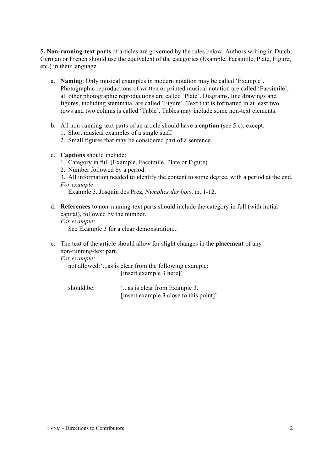**5. Non-running-text parts** of articles are governed by the rules below. Authors writing in Dutch, German or French should use the equivalent of the categories (Example, Facsimile, Plate, Figure, etc.) in their language.

- a. **Naming**: Only musical examples in modern notation may be called 'Example'. Photographic reproductions of written or printed musical notation are called 'Facsimile'; all other photographic reproductions are called 'Plate'. Diagrams, line drawings and figures, including stemmata, are called 'Figure'. Text that is formatted in at least two rows and two colums is called 'Table'. Tables may include some non-text elements.
- b. All non-running-text parts of an article should have a **caption** (see 5.c), except:
	- 1. Short musical examples of a single staff.
	- 2. Small figures that may be considered part of a sentence.
- c. **Captions** should include:
	- 1. Category in full (Example, Facsimile, Plate or Figure).
	- 2. Number followed by a period.
	- 3. All information needed to identify the content to some degree, with a period at the end. *For example:*

Example 3. Josquin des Prez, *Nymphes des bois*, m. 1-12.

d. **References** to non-running-text parts should include the category in full (with initial capital), followed by the number.

*For example:* 

See Example 3 for a clear demonstration...

e. The text of the article should allow for slight changes in the **placement** of any non-running-text part.

*For example:*

not allowed:'...as is clear from the following example: [insert example 3 here]'

should be:  $\ldots$  as is clear from Example 3. [insert example 3 close to this point]'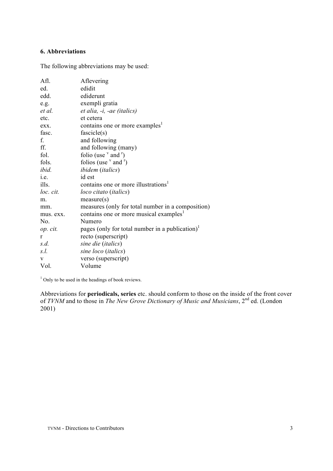#### **6. Abbreviations**

The following abbreviations may be used:

| Afl.          | Aflevering                                                  |
|---------------|-------------------------------------------------------------|
| ed.           | edidit                                                      |
| edd.          | ediderunt                                                   |
| e.g.          | exempli gratia                                              |
| et al.        | et alia, -i, -ae (italics)                                  |
| etc.          | et cetera                                                   |
| exx.          | contains one or more examples <sup>1</sup>                  |
| fasc.         | fascicle(s)                                                 |
| f.            | and following                                               |
| ff.           | and following (many)                                        |
| fol.          | folio (use $v$ and $v$ )                                    |
| fols.         | folios (use $v$ and $v$ )                                   |
| ibid.         | <i>ibidem</i> ( <i>italics</i> )                            |
| i.e.          | id est                                                      |
| ills.         | contains one or more illustrations <sup>1</sup>             |
| $loc.$ $cit.$ | loco citato (italics)                                       |
| m.            | measure(s)                                                  |
| mm.           | measures (only for total number in a composition)           |
| mus. exx.     | contains one or more musical examples <sup>1</sup>          |
| No.           | Numero                                                      |
| op. cit.      | pages (only for total number in a publication) <sup>1</sup> |
| r             | recto (superscript)                                         |
| s.d.          | sine die (italics)                                          |
| s.l.          | sine loco (italics)                                         |
| V             | verso (superscript)                                         |
| Vol.          | Volume                                                      |

 $<sup>1</sup>$  Only to be used in the headings of book reviews.</sup>

Abbreviations for **periodicals, series** etc. should conform to those on the inside of the front cover of *TVNM* and to those in *The New Grove Dictionary of Music and Musicians*, 2nd ed. (London 2001)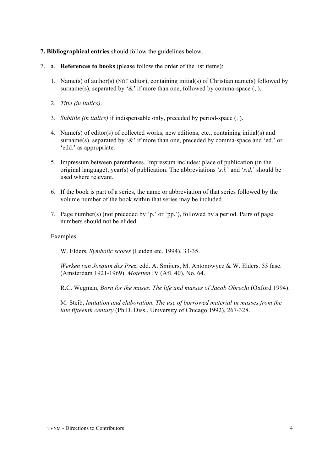### **7. Bibliographical entries** should follow the guidelines below.

- 7. a. **References to books** (please follow the order of the list items):
	- 1. Name(s) of author(s) (NOT editor), containing initial(s) of Christian name(s) followed by surname(s), separated by ' $\&$ ' if more than one, followed by comma-space (, ).
	- 2. *Title (in italics)*.
	- 3. *Subtitle (in italics)* if indispensable only, preceded by period-space (. ).
	- 4. Name(s) of editor(s) of collected works, new editions, etc., containing initial(s) and surname(s), separated by '&' if more than one, preceded by comma-space and 'ed.' or 'edd.' as appropriate.
	- 5. Impressum between parentheses. Impressum includes: place of publication (in the original language), year(s) of publication. The abbreviations '*s.l.*' and '*s.d.*' should be used where relevant.
	- 6. If the book is part of a series, the name or abbreviation of that series followed by the volume number of the book within that series may be included.
	- 7. Page number(s) (not preceded by 'p.' or 'pp.'), followed by a period. Pairs of page numbers should not be elided.

Examples:

W. Elders, *Symbolic scores* (Leiden etc. 1994), 33-35.

*Werken van Josquin des Prez*, edd. A. Smijers, M. Antonowycz & W. Elders. 55 fasc. (Amsterdam 1921-1969). *Motetten* IV (Afl. 40), No. 64.

R.C. Wegman, *Born for the muses. The life and masses of Jacob Obrecht* (Oxford 1994).

M. Steib, *Imitation and elaboration. The use of borrowed material in masses from the late fifteenth century* (Ph.D. Diss., University of Chicago 1992), 267-328.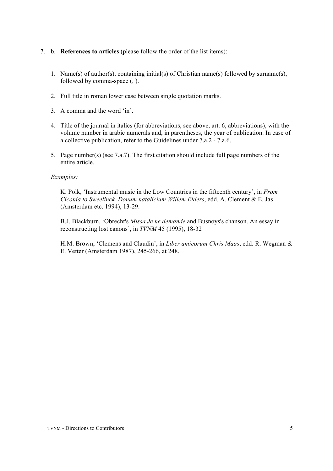- 7. b. **References to articles** (please follow the order of the list items):
	- 1. Name(s) of author(s), containing initial(s) of Christian name(s) followed by surname(s), followed by comma-space (, ).
	- 2. Full title in roman lower case between single quotation marks.
	- 3. A comma and the word 'in'.
	- 4. Title of the journal in italics (for abbreviations, see above, art. 6, abbreviations), with the volume number in arabic numerals and, in parentheses, the year of publication. In case of a collective publication, refer to the Guidelines under 7.a.2 - 7.a.6.
	- 5. Page number(s) (see 7.a.7). The first citation should include full page numbers of the entire article.

#### *Examples:*

K. Polk, 'Instrumental music in the Low Countries in the fifteenth century', in *From Ciconia to Sweelinck. Donum natalicium Willem Elders*, edd. A. Clement & E. Jas (Amsterdam etc. 1994), 13-29.

B.J. Blackburn, 'Obrecht's *Missa Je ne demande* and Busnoys's chanson. An essay in reconstructing lost canons', in *TVNM* 45 (1995), 18-32

H.M. Brown, 'Clemens and Claudin', in *Liber amicorum Chris Maas*, edd. R. Wegman & E. Vetter (Amsterdam 1987), 245-266, at 248.